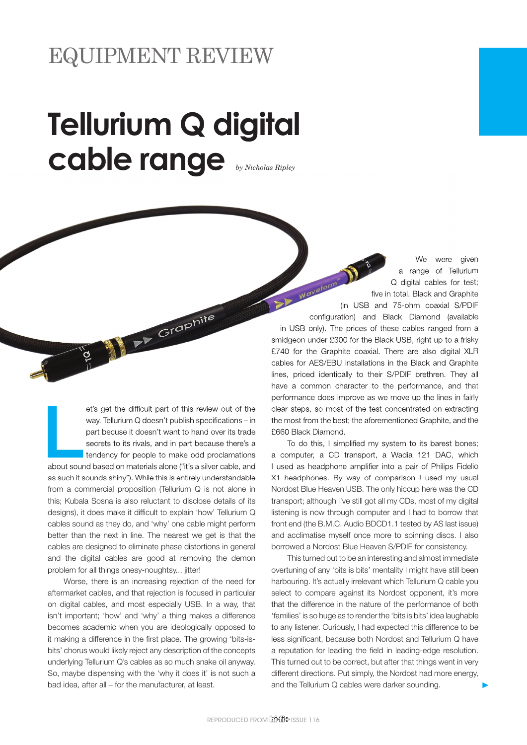## **Tellurium Q digital cable range** *by Nicholas Ripley*

**Little School**<br>About sour et's get the difficult part of this review out of the way. Tellurium Q doesn't publish specifications – in part becuse it doesn't want to hand over its trade secrets to its rivals, and in part because there's a tendency for people to make odd proclamations about sound based on materials alone ("it's a silver cable, and as such it sounds shiny"). While this is entirely understandable from a commercial proposition (Tellurium Q is not alone in this; Kubala Sosna is also reluctant to disclose details of its designs), it does make it difficult to explain 'how' Tellurium Q cables sound as they do, and 'why' one cable might perform better than the next in line. The nearest we get is that the cables are designed to eliminate phase distortions in general and the digital cables are good at removing the demon problem for all things onesy-noughtsy... jitter!

Participal Proposite

Worse, there is an increasing rejection of the need for aftermarket cables, and that rejection is focused in particular on digital cables, and most especially USB. In a way, that isn't important; 'how' and 'why' a thing makes a difference becomes academic when you are ideologically opposed to it making a difference in the first place. The growing 'bits-isbits' chorus would likely reject any description of the concepts underlying Tellurium Q's cables as so much snake oil anyway. So, maybe dispensing with the 'why it does it' is not such a bad idea, after all – for the manufacturer, at least.

We were given a range of Tellurium Q digital cables for test; five in total. Black and Graphite (in USB and 75-ohm coaxial S/PDIF)<br>in USB and 75-ohm coaxial S/PDIF)<br>and 75-ohm coaxial S/PDIF configuration) and Black Diamond (available in USB only). The prices of these cables ranged from a smidgeon under £300 for the Black USB, right up to a frisky £740 for the Graphite coaxial. There are also digital XLR cables for AES/EBU installations in the Black and Graphite

lines, priced identically to their S/PDIF brethren. They all have a common character to the performance, and that performance does improve as we move up the lines in fairly clear steps, so most of the test concentrated on extracting the most from the best; the aforementioned Graphite, and the £660 Black Diamond.

To do this, I simplified my system to its barest bones; a computer, a CD transport, a Wadia 121 DAC, which I used as headphone amplifier into a pair of Philips Fidelio X1 headphones. By way of comparison I used my usual Nordost Blue Heaven USB. The only hiccup here was the CD transport; although I've still got all my CDs, most of my digital listening is now through computer and I had to borrow that front end (the B.M.C. Audio BDCD1.1 tested by AS last issue) and acclimatise myself once more to spinning discs. I also borrowed a Nordost Blue Heaven S/PDIF for consistency.

This turned out to be an interesting and almost immediate overtuning of any 'bits is bits' mentality I might have still been harbouring. It's actually irrelevant which Tellurium Q cable you select to compare against its Nordost opponent, it's more that the difference in the nature of the performance of both 'families' is so huge as to render the 'bits is bits' idea laughable to any listener. Curiously, I had expected this difference to be less significant, because both Nordost and Tellurium Q have a reputation for leading the field in leading-edge resolution. This turned out to be correct, but after that things went in very different directions. Put simply, the Nordost had more energy, and the Tellurium Q cables were darker sounding.